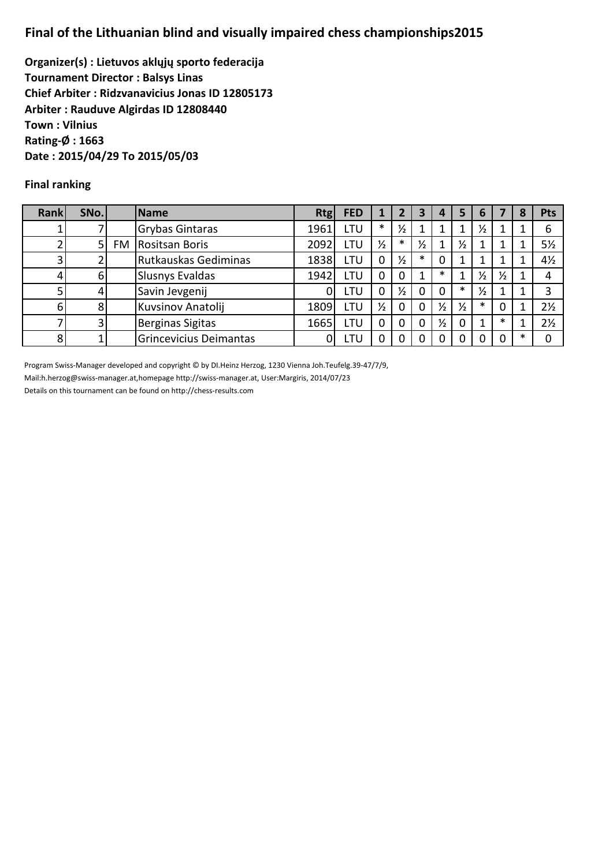## **Final of the Lithuanian blind and visually impaired chess championships2015**

**Organizer(s) : Lietuvos aklųjų sporto federacija Tournament Director : Balsys Linas Chief Arbiter : Ridzvanavicius Jonas ID 12805173 Arbiter : Rauduve Algirdas ID 12808440 Town : Vilnius Rating-Ø : 1663 Date : 2015/04/29 To 2015/05/03**

## **Final ranking**

| <b>Rank</b> | SNo. | Name                     | <b>Rtg</b> | <b>FED</b> |               | 2             | 3             | 4             | 5             | 6             |               | 8 | <b>Pts</b>     |
|-------------|------|--------------------------|------------|------------|---------------|---------------|---------------|---------------|---------------|---------------|---------------|---|----------------|
|             |      | <b>Grybas Gintaras</b>   | 1961       | LTU        | $\ast$        | $\frac{1}{2}$ |               |               |               | ⅓             |               |   | 6              |
|             |      | <b>FM Rositsan Boris</b> | 2092       | <b>LTU</b> | $\frac{1}{2}$ | $\ast$        | $\frac{1}{2}$ |               | $\frac{1}{2}$ |               |               |   | $5\frac{1}{2}$ |
|             |      | Rutkauskas Gediminas     | 1838       | LTU        | 0             | $\frac{1}{2}$ | $\ast$        | 0             |               |               | ┸             |   | $4\frac{1}{2}$ |
|             | 6    | <b>Slusnys Evaldas</b>   | 1942       | LTU        | O             | 0             |               | $\ast$        |               | $\frac{1}{2}$ | $\frac{1}{2}$ |   | 4              |
|             |      | Savin Jevgenij           |            | LTU        | 0             | $\frac{1}{2}$ | 0             | 0             | $\ast$        | ⅓             |               |   | 3              |
| 6           |      | Kuvsinov Anatolij        | 1809       | LTU        | $\frac{1}{2}$ | 0             | 0             | $\frac{1}{2}$ | $\frac{1}{2}$ | $\ast$        | 0             |   | $2\frac{1}{2}$ |
|             |      | <b>Berginas Sigitas</b>  | 1665       | LTU        | 0             | 0             | 0             | $\frac{1}{2}$ | 0             |               | $\ast$        |   | $2\frac{1}{2}$ |
| 8           |      | Grincevicius Deimantas   |            | LTU        | 0             |               |               | ი             |               |               | $\Omega$      |   | 0              |

Program Swiss-Manager developed and copyright © by DI.Heinz Herzog, 1230 Vienna Joh.Teufelg.39-47/7/9,

Mail:h.herzog@swiss-manager.at,homepage http://swiss-manager.at, User:Margiris, 2014/07/23

Details on this tournament can be found on http://chess-results.com